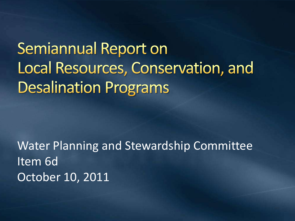**Semiannual Report on** Local Resources, Conservation, and **Desalination Programs** 

Water Planning and Stewardship Committee Item 6d October 10, 2011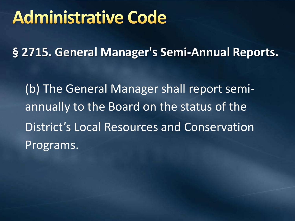#### **Administrative Code**

**§ 2715. General Manager's Semi-Annual Reports.**

(b) The General Manager shall report semiannually to the Board on the status of the District's Local Resources and Conservation Programs.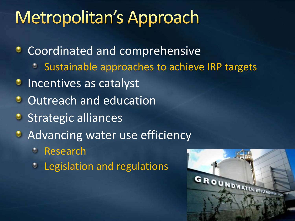# Metropolitan's Approach

**Coordinated and comprehensive** 

- Sustainable approaches to achieve IRP targets
- **Incentives as catalyst**
- **Outreach and education**
- **Strategic alliances**
- **Advancing water use efficiency** 
	- Research
	- **C** Legislation and regulations

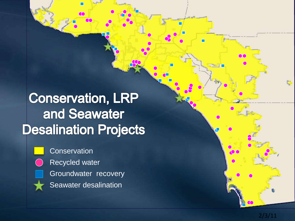#### **Conservation, LRP** and Seawater **Desalination Projects**

 $\alpha$  $\Box$ 



**Conservation** Recycled water Groundwater recovery Seawater desalination

2/3/11

Iņ.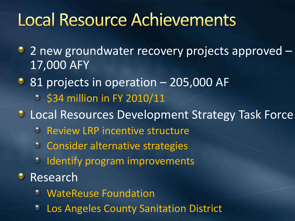### **Local Resource Achievements**

- 2 new groundwater recovery projects approved 17,000 AFY
- 81 projects in operation 205,000 AF
	- $\degree$  \$34 million in FY 2010/11
- *C* Local Resources Development Strategy Task Force
	- **C.** Review LRP incentive structure
	- **Consider alternative strategies**
	- **Identify program improvements**
- **Research** 
	- WateReuse Foundation
	- Los Angeles County Sanitation District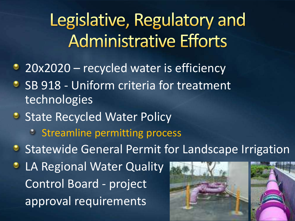Legislative, Regulatory and **Administrative Efforts** 

- 20x2020 recycled water is efficiency
- SB 918 Uniform criteria for treatment  $\bullet$ technologies
- **State Recycled Water Policy** 
	- **Streamline permitting process**
- **Statewide General Permit for Landscape Irrigation**
- **C** LA Regional Water Quality Control Board - project approval requirements

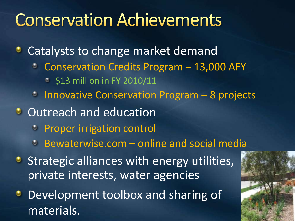## **Conservation Achievements**

**• Catalysts to change market demand** 

- Conservation Credits Program 13,000 AFY
	- **513 million in FY 2010/11**
- <sup>o</sup> Innovative Conservation Program 8 projects
- **Outreach and education** 
	- **Proper irrigation control**
	- Bewaterwise.com online and social media
- **Strategic alliances with energy utilities,** private interests, water agencies
- Development toolbox and sharing of materials.

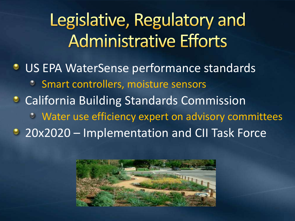Legislative, Regulatory and **Administrative Efforts** 

**US EPA WaterSense performance standards** Smart controllers, moisture sensors **California Building Standards Commission** Water use efficiency expert on advisory committees • 20x2020 – Implementation and CII Task Force

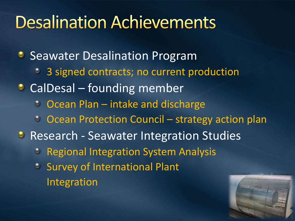### **Desalination Achievements**

**Seawater Desalination Program** <sup>3</sup> 3 signed contracts; no current production • CalDesal – founding member • Ocean Plan – intake and discharge • Ocean Protection Council – strategy action plan **• Research - Seawater Integration Studies C** Regional Integration System Analysis **Survey of International Plant** Integration